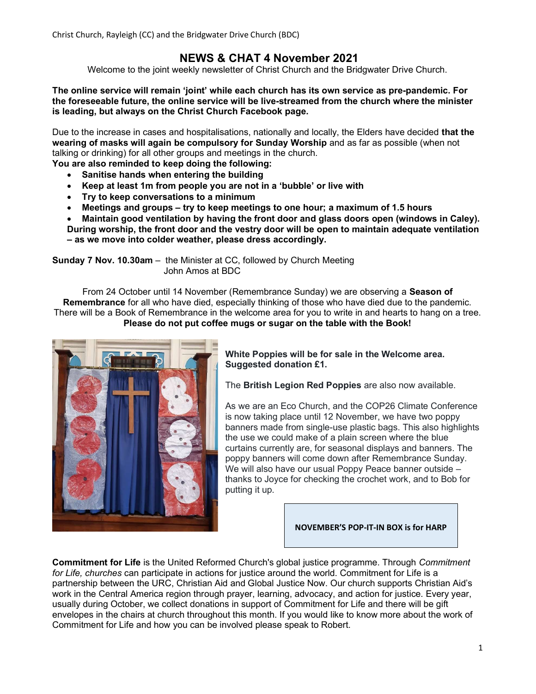Christ Church, Rayleigh (CC) and the Bridgwater Drive Church (BDC)

# NEWS & CHAT 4 November 2021

Welcome to the joint weekly newsletter of Christ Church and the Bridgwater Drive Church.

The online service will remain 'joint' while each church has its own service as pre-pandemic. For the foreseeable future, the online service will be live-streamed from the church where the minister is leading, but always on the Christ Church Facebook page.

Due to the increase in cases and hospitalisations, nationally and locally, the Elders have decided that the wearing of masks will again be compulsory for Sunday Worship and as far as possible (when not talking or drinking) for all other groups and meetings in the church.

You are also reminded to keep doing the following:

- Sanitise hands when entering the building
- Keep at least 1m from people you are not in a 'bubble' or live with
- Try to keep conversations to a minimum
- Meetings and groups try to keep meetings to one hour; a maximum of 1.5 hours
- Maintain good ventilation by having the front door and glass doors open (windows in Caley).

During worship, the front door and the vestry door will be open to maintain adequate ventilation – as we move into colder weather, please dress accordingly.

Sunday 7 Nov. 10.30am – the Minister at CC, followed by Church Meeting John Amos at BDC

From 24 October until 14 November (Remembrance Sunday) we are observing a Season of Remembrance for all who have died, especially thinking of those who have died due to the pandemic. There will be a Book of Remembrance in the welcome area for you to write in and hearts to hang on a tree. Please do not put coffee mugs or sugar on the table with the Book!



White Poppies will be for sale in the Welcome area. Suggested donation £1.

The **British Legion Red Poppies** are also now available.

As we are an Eco Church, and the COP26 Climate Conference is now taking place until 12 November, we have two poppy banners made from single-use plastic bags. This also highlights the use we could make of a plain screen where the blue curtains currently are, for seasonal displays and banners. The poppy banners will come down after Remembrance Sunday. We will also have our usual Poppy Peace banner outside – thanks to Joyce for checking the crochet work, and to Bob for putting it up.

#### NOVEMBER'S POP-IT-IN BOX is for HARP

Commitment for Life is the United Reformed Church's global justice programme. Through Commitment for Life, churches can participate in actions for justice around the world. Commitment for Life is a partnership between the URC, Christian Aid and Global Justice Now. Our church supports Christian Aid's work in the Central America region through prayer, learning, advocacy, and action for justice. Every year, usually during October, we collect donations in support of Commitment for Life and there will be gift envelopes in the chairs at church throughout this month. If you would like to know more about the work of Commitment for Life and how you can be involved please speak to Robert.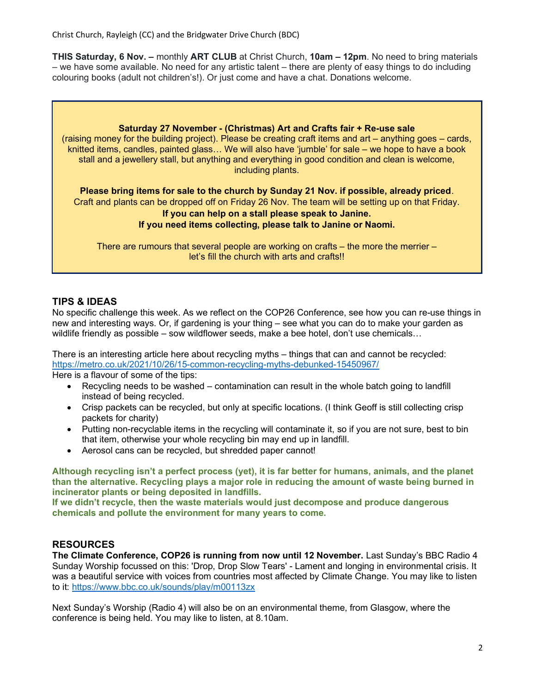Christ Church, Rayleigh (CC) and the Bridgwater Drive Church (BDC)

THIS Saturday, 6 Nov. – monthly ART CLUB at Christ Church, 10am – 12pm. No need to bring materials – we have some available. No need for any artistic talent – there are plenty of easy things to do including colouring books (adult not children's!). Or just come and have a chat. Donations welcome.



## TIPS & IDEAS

No specific challenge this week. As we reflect on the COP26 Conference, see how you can re-use things in new and interesting ways. Or, if gardening is your thing – see what you can do to make your garden as wildlife friendly as possible – sow wildflower seeds, make a bee hotel, don't use chemicals...

There is an interesting article here about recycling myths – things that can and cannot be recycled: https://metro.co.uk/2021/10/26/15-common-recycling-myths-debunked-15450967/

Here is a flavour of some of the tips:

- Recycling needs to be washed contamination can result in the whole batch going to landfill instead of being recycled.
- Crisp packets can be recycled, but only at specific locations. (I think Geoff is still collecting crisp packets for charity)
- Putting non-recyclable items in the recycling will contaminate it, so if you are not sure, best to bin that item, otherwise your whole recycling bin may end up in landfill.
- Aerosol cans can be recycled, but shredded paper cannot!

Although recycling isn't a perfect process (yet), it is far better for humans, animals, and the planet than the alternative. Recycling plays a major role in reducing the amount of waste being burned in incinerator plants or being deposited in landfills.

If we didn't recycle, then the waste materials would just decompose and produce dangerous chemicals and pollute the environment for many years to come.

# RESOURCES

The Climate Conference, COP26 is running from now until 12 November. Last Sunday's BBC Radio 4 Sunday Worship focussed on this: 'Drop, Drop Slow Tears' - Lament and longing in environmental crisis. It was a beautiful service with voices from countries most affected by Climate Change. You may like to listen to it: https://www.bbc.co.uk/sounds/play/m00113zx

Next Sunday's Worship (Radio 4) will also be on an environmental theme, from Glasgow, where the conference is being held. You may like to listen, at 8.10am.